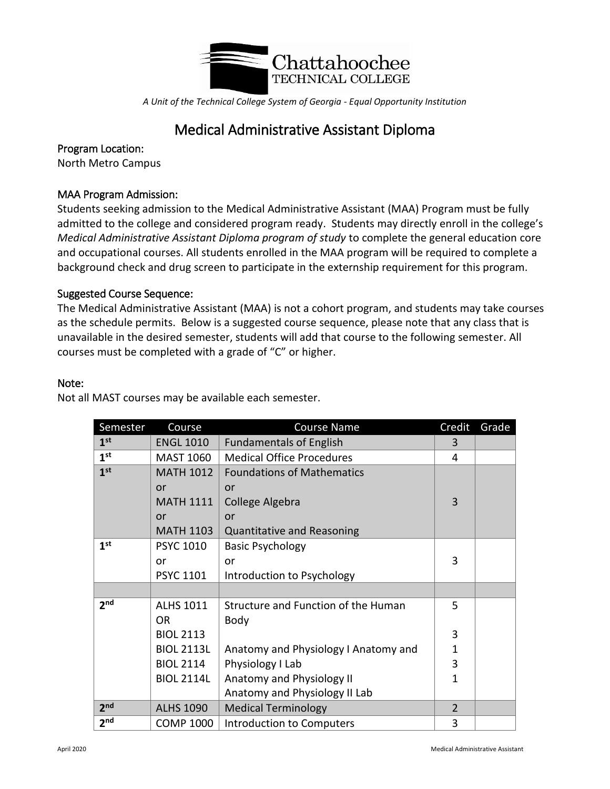

*A Unit of the Technical College System of Georgia - Equal Opportunity Institution*

# Medical Administrative Assistant Diploma

Program Location:

North Metro Campus

## MAA Program Admission:

Students seeking admission to the Medical Administrative Assistant (MAA) Program must be fully admitted to the college and considered program ready. Students may directly enroll in the college's *Medical Administrative Assistant Diploma program of study* to complete the general education core and occupational courses. All students enrolled in the MAA program will be required to complete a background check and drug screen to participate in the externship requirement for this program.

## Suggested Course Sequence:

The Medical Administrative Assistant (MAA) is not a cohort program, and students may take courses as the schedule permits. Below is a suggested course sequence, please note that any class that is unavailable in the desired semester, students will add that course to the following semester. All courses must be completed with a grade of "C" or higher.

### Note:

Not all MAST courses may be available each semester.

| Semester        | Course            | <b>Course Name</b>                   | Credit         | Grade |
|-----------------|-------------------|--------------------------------------|----------------|-------|
| 1 <sup>st</sup> | <b>ENGL 1010</b>  | <b>Fundamentals of English</b>       | 3              |       |
| 1 <sup>st</sup> | <b>MAST 1060</b>  | <b>Medical Office Procedures</b>     | 4              |       |
| 1 <sup>st</sup> | <b>MATH 1012</b>  | <b>Foundations of Mathematics</b>    |                |       |
|                 | or                | or                                   |                |       |
|                 | <b>MATH 1111</b>  | College Algebra                      | 3              |       |
|                 | or                | or                                   |                |       |
|                 | <b>MATH 1103</b>  | Quantitative and Reasoning           |                |       |
| 1 <sup>st</sup> | <b>PSYC 1010</b>  | <b>Basic Psychology</b>              |                |       |
|                 | or                | or                                   | 3              |       |
|                 | <b>PSYC 1101</b>  | Introduction to Psychology           |                |       |
|                 |                   |                                      |                |       |
| 2 <sub>nd</sub> | <b>ALHS 1011</b>  | Structure and Function of the Human  | 5              |       |
|                 | <b>OR</b>         | Body                                 |                |       |
|                 | <b>BIOL 2113</b>  |                                      | 3              |       |
|                 | <b>BIOL 2113L</b> | Anatomy and Physiology I Anatomy and | $\mathbf 1$    |       |
|                 | <b>BIOL 2114</b>  | Physiology I Lab                     | 3              |       |
|                 | <b>BIOL 2114L</b> | Anatomy and Physiology II            | 1              |       |
|                 |                   | Anatomy and Physiology II Lab        |                |       |
| 2 <sub>nd</sub> | <b>ALHS 1090</b>  | <b>Medical Terminology</b>           | $\overline{2}$ |       |
| 2 <sub>nd</sub> | <b>COMP 1000</b>  | Introduction to Computers            | 3              |       |